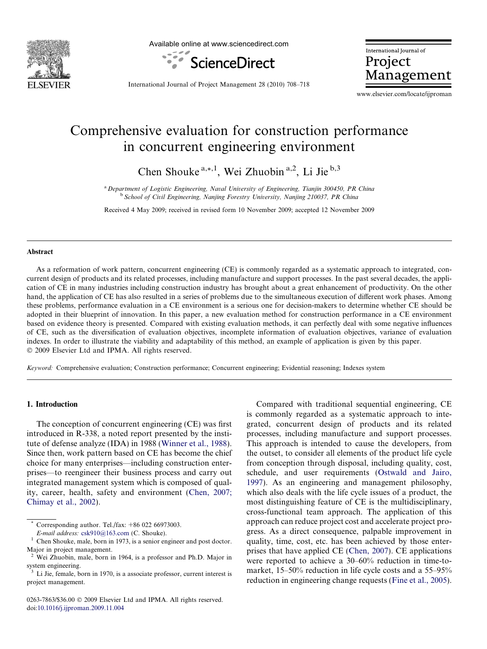

Available online at www.sciencedirect.com



International Journal of Project Management

International Journal of Project Management 28 (2010) 708–718

www.elsevier.com/locate/ijproman

## Comprehensive evaluation for construction performance in concurrent engineering environment

Chen Shouke  $a_{n+1}$ , Wei Zhuobin  $a_{n+1}$ , Li Jie  $b_{n+1}$ 

<sup>a</sup> Department of Logistic Engineering, Naval University of Engineering, Tianjin 300450, PR China <sup>b</sup> School of Civil Engineering, Nanjing Forestry University, Nanjing 210037, PR China

Received 4 May 2009; received in revised form 10 November 2009; accepted 12 November 2009

## Abstract

As a reformation of work pattern, concurrent engineering (CE) is commonly regarded as a systematic approach to integrated, concurrent design of products and its related processes, including manufacture and support processes. In the past several decades, the application of CE in many industries including construction industry has brought about a great enhancement of productivity. On the other hand, the application of CE has also resulted in a series of problems due to the simultaneous execution of different work phases. Among these problems, performance evaluation in a CE environment is a serious one for decision-makers to determine whether CE should be adopted in their blueprint of innovation. In this paper, a new evaluation method for construction performance in a CE environment based on evidence theory is presented. Compared with existing evaluation methods, it can perfectly deal with some negative influences of CE, such as the diversification of evaluation objectives, incomplete information of evaluation objectives, variance of evaluation indexes. In order to illustrate the viability and adaptability of this method, an example of application is given by this paper.  $© 2009 Elsevier Ltd and IPMA. All rights reserved.$ 

Keyword: Comprehensive evaluation; Construction performance; Concurrent engineering; Evidential reasoning; Indexes system

## 1. Introduction

The conception of concurrent engineering (CE) was first introduced in R-338, a noted report presented by the institute of defense analyze (IDA) in 1988 [\(Winner et al., 1988\)](#page--1-0). Since then, work pattern based on CE has become the chief choice for many enterprises—including construction enterprises—to reengineer their business process and carry out integrated management system which is composed of quality, career, health, safety and environment ([Chen, 2007;](#page--1-0) [Chimay et al., 2002](#page--1-0)).

Corresponding author. Tel./fax: +86 022 66973003.

Compared with traditional sequential engineering, CE is commonly regarded as a systematic approach to integrated, concurrent design of products and its related processes, including manufacture and support processes. This approach is intended to cause the developers, from the outset, to consider all elements of the product life cycle from conception through disposal, including quality, cost, schedule, and user requirements ([Ostwald and Jairo,](#page--1-0) [1997\)](#page--1-0). As an engineering and management philosophy, which also deals with the life cycle issues of a product, the most distinguishing feature of CE is the multidisciplinary, cross-functional team approach. The application of this approach can reduce project cost and accelerate project progress. As a direct consequence, palpable improvement in quality, time, cost, etc. has been achieved by those enterprises that have applied CE ([Chen, 2007](#page--1-0)). CE applications were reported to achieve a 30–60% reduction in time-tomarket, 15–50% reduction in life cycle costs and a 55–95% reduction in engineering change requests [\(Fine et al., 2005\)](#page--1-0).

E-mail address:  $csk910@163.com$  (C. Shouke).<br><sup>1</sup> Chen Shouke, male, born in 1973, is a senior engineer and post doctor. Major in project management.

<sup>&</sup>lt;sup>2</sup> Wei Zhuobin, male, born in 1964, is a professor and Ph.D. Major in system engineering.

<sup>&</sup>lt;sup>3</sup> Li Jie, female, born in 1970, is a associate professor, current interest is project management.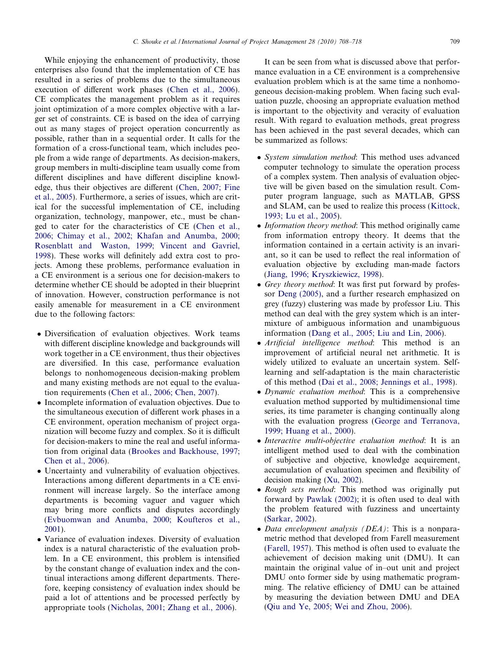While enjoying the enhancement of productivity, those enterprises also found that the implementation of CE has resulted in a series of problems due to the simultaneous execution of different work phases ([Chen et al., 2006\)](#page--1-0). CE complicates the management problem as it requires joint optimization of a more complex objective with a larger set of constraints. CE is based on the idea of carrying out as many stages of project operation concurrently as possible, rather than in a sequential order. It calls for the formation of a cross-functional team, which includes people from a wide range of departments. As decision-makers, group members in multi-discipline team usually come from different disciplines and have different discipline knowledge, thus their objectives are different ([Chen, 2007; Fine](#page--1-0) [et al., 2005\)](#page--1-0). Furthermore, a series of issues, which are critical for the successful implementation of CE, including organization, technology, manpower, etc., must be changed to cater for the characteristics of CE [\(Chen et al.,](#page--1-0) [2006; Chimay et al., 2002; Khafan and Anumba, 2000;](#page--1-0) [Rosenblatt and Waston, 1999; Vincent and Gavriel,](#page--1-0) [1998](#page--1-0)). These works will definitely add extra cost to projects. Among these problems, performance evaluation in a CE environment is a serious one for decision-makers to determine whether CE should be adopted in their blueprint of innovation. However, construction performance is not easily amenable for measurement in a CE environment due to the following factors:

- Diversification of evaluation objectives. Work teams with different discipline knowledge and backgrounds will work together in a CE environment, thus their objectives are diversified. In this case, performance evaluation belongs to nonhomogeneous decision-making problem and many existing methods are not equal to the evaluation requirements [\(Chen et al., 2006; Chen, 2007](#page--1-0)).
- Incomplete information of evaluation objectives. Due to the simultaneous execution of different work phases in a CE environment, operation mechanism of project organization will become fuzzy and complex. So it is difficult for decision-makers to mine the real and useful information from original data ([Brookes and Backhouse, 1997;](#page--1-0) [Chen et al., 2006\)](#page--1-0).
- Uncertainty and vulnerability of evaluation objectives. Interactions among different departments in a CE environment will increase largely. So the interface among departments is becoming vaguer and vaguer which may bring more conflicts and disputes accordingly ([Evbuomwan and Anumba, 2000; Koufteros et al.,](#page--1-0) [2001](#page--1-0)).
- Variance of evaluation indexes. Diversity of evaluation index is a natural characteristic of the evaluation problem. In a CE environment, this problem is intensified by the constant change of evaluation index and the continual interactions among different departments. Therefore, keeping consistency of evaluation index should be paid a lot of attentions and be processed perfectly by appropriate tools [\(Nicholas, 2001; Zhang et al., 2006\)](#page--1-0).

It can be seen from what is discussed above that performance evaluation in a CE environment is a comprehensive evaluation problem which is at the same time a nonhomogeneous decision-making problem. When facing such evaluation puzzle, choosing an appropriate evaluation method is important to the objectivity and veracity of evaluation result. With regard to evaluation methods, great progress has been achieved in the past several decades, which can be summarized as follows:

- System simulation method: This method uses advanced computer technology to simulate the operation process of a complex system. Then analysis of evaluation objective will be given based on the simulation result. Computer program language, such as MATLAB, GPSS and SLAM, can be used to realize this process ([Kittock,](#page--1-0) [1993; Lu et al., 2005](#page--1-0)).
- Information theory method: This method originally came from information entropy theory. It deems that the information contained in a certain activity is an invariant, so it can be used to reflect the real information of evaluation objective by excluding man-made factors ([Jiang, 1996; Kryszkiewicz, 1998\)](#page--1-0).
- Grey theory method: It was first put forward by professor [Deng \(2005\)](#page--1-0), and a further research emphasized on grey (fuzzy) clustering was made by professor Liu. This method can deal with the grey system which is an intermixture of ambiguous information and unambiguous information [\(Dang et al., 2005; Liu and Lin, 2006](#page--1-0)).
- Artificial intelligence method: This method is an improvement of artificial neural net arithmetic. It is widely utilized to evaluate an uncertain system. Selflearning and self-adaptation is the main characteristic of this method [\(Dai et al., 2008; Jennings et al., 1998\)](#page--1-0).
- Dynamic evaluation method: This is a comprehensive evaluation method supported by multidimensional time series, its time parameter is changing continually along with the evaluation progress [\(George and Terranova,](#page--1-0) [1999; Huang et al., 2000](#page--1-0)).
- Interactive multi-objective evaluation method: It is an intelligent method used to deal with the combination of subjective and objective, knowledge acquirement, accumulation of evaluation specimen and flexibility of decision making ([Xu, 2002](#page--1-0)).
- Rough sets method: This method was originally put forward by [Pawlak \(2002\);](#page--1-0) it is often used to deal with the problem featured with fuzziness and uncertainty ([Sarkar, 2002](#page--1-0)).
- Data envelopment analysis (DEA): This is a nonparametric method that developed from Farell measurement ([Farell, 1957\)](#page--1-0). This method is often used to evaluate the achievement of decision making unit (DMU). It can maintain the original value of in–out unit and project DMU onto former side by using mathematic programming. The relative efficiency of DMU can be attained by measuring the deviation between DMU and DEA ([Qiu and Ye, 2005; Wei and Zhou, 2006](#page--1-0)).